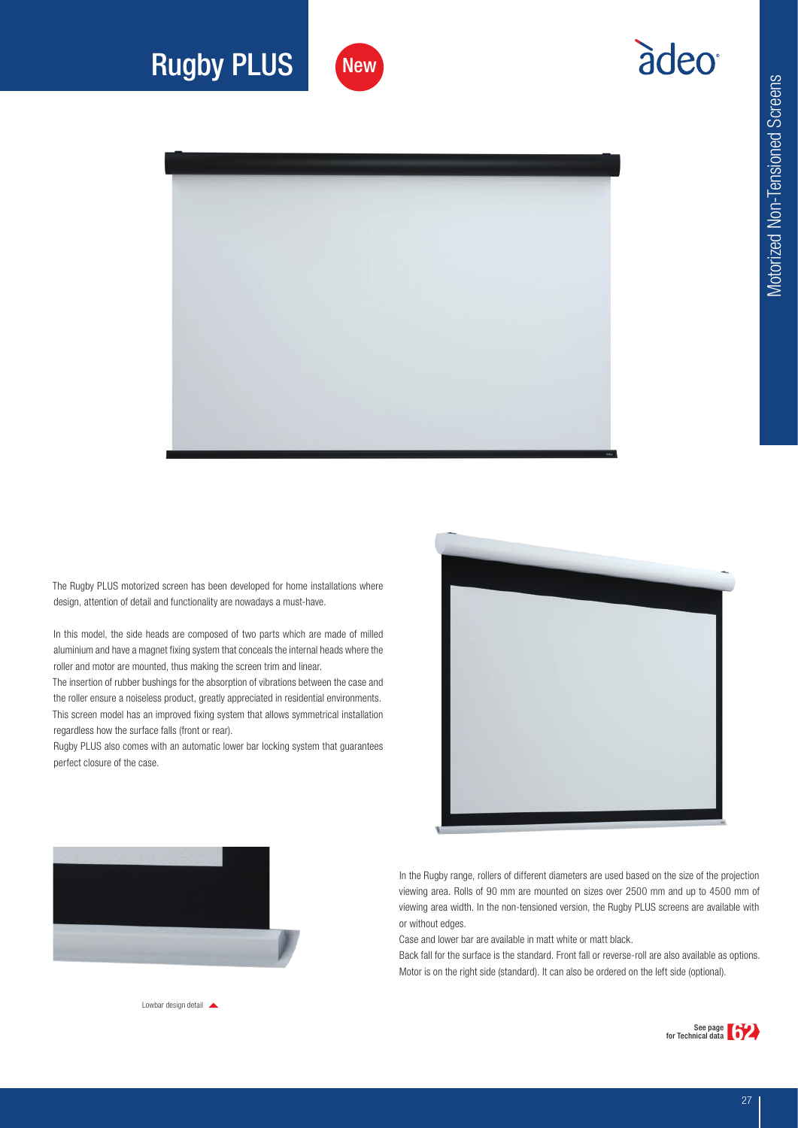adeo



## Rugby PLUS



The Rugby PLUS motorized screen has been developed for home installations where design, attention of detail and functionality are nowadays a must-have.

In this model, the side heads are composed of two parts which are made of milled aluminium and have a magnet fixing system that conceals the internal heads where the roller and motor are mounted, thus making the screen trim and linear.

The insertion of rubber bushings for the absorption of vibrations between the case and the roller ensure a noiseless product, greatly appreciated in residential environments. This screen model has an improved fixing system that allows symmetrical installation regardless how the surface falls (front or rear).

Rugby PLUS also comes with an automatic lower bar locking system that guarantees perfect closure of the case.





In the Rugby range, rollers of different diameters are used based on the size of the projection viewing area. Rolls of 90 mm are mounted on sizes over 2500 mm and up to 4500 mm of viewing area width. In the non-tensioned version, the Rugby PLUS screens are available with or without edges.

Case and lower bar are available in matt white or matt black.

Back fall for the surface is the standard. Front fall or reverse-roll are also available as options. Motor is on the right side (standard). It can also be ordered on the left side (optional).



Lowbar design detail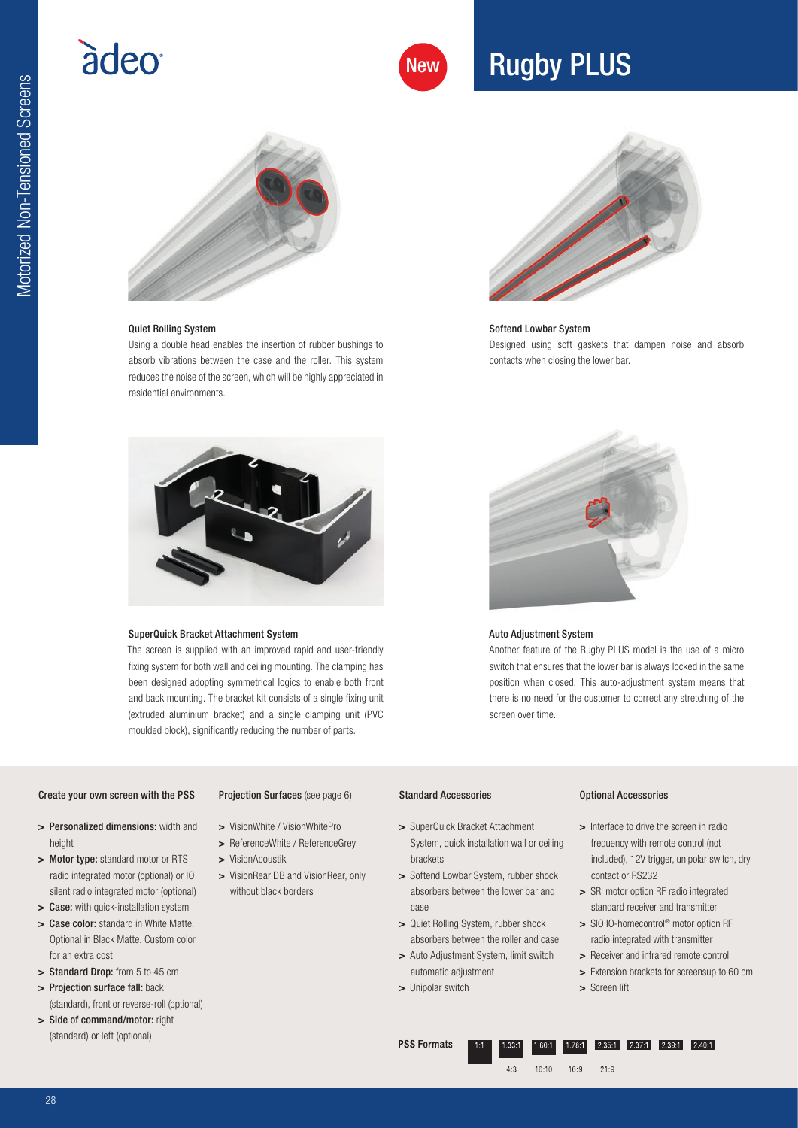# adeo

## New Rugby PLUS



## Quiet Rolling System

Using a double head enables the insertion of rubber bushings to absorb vibrations between the case and the roller. This system reduces the noise of the screen, which will be highly appreciated in residential environments.



## Softend Lowbar System Designed using soft gaskets that dampen noise and absorb contacts when closing the lower bar.

### SuperQuick Bracket Attachment System

The screen is supplied with an improved rapid and user-friendly fixing system for both wall and ceiling mounting. The clamping has been designed adopting symmetrical logics to enable both front and back mounting. The bracket kit consists of a single fixing unit (extruded aluminium bracket) and a single clamping unit (PVC moulded block), significantly reducing the number of parts.



### Auto Adjustment System

Another feature of the Rugby PLUS model is the use of a micro switch that ensures that the lower bar is always locked in the same position when closed. This auto-adjustment system means that there is no need for the customer to correct any stretching of the screen over time.

### Create your own screen with the PSS

> Motor type: standard motor or RTS radio integrated motor (optional) or IO silent radio integrated motor (optional) > Case: with quick-installation system > Case color: standard in White Matte. Optional in Black Matte. Custom color

## Projection Surfaces (see page 6)

- > Personalized dimensions: width and > VisionWhite / VisionWhitePro
	- > ReferenceWhite / ReferenceGrey
	- > VisionAcoustik
	- > VisionRear DB and VisionRear, only without black borders

### Standard Accessories

- > SuperQuick Bracket Attachment System, quick installation wall or ceiling brackets
- > Softend Lowbar System, rubber shock absorbers between the lower bar and case
- > Quiet Rolling System, rubber shock absorbers between the roller and case
- > Auto Adjustment System, limit switch automatic adjustment
- > Unipolar switch

## Optional Accessories

- > Interface to drive the screen in radio frequency with remote control (not included), 12V trigger, unipolar switch, dry contact or RS232
- > SRI motor option RF radio integrated standard receiver and transmitter
- > SIO IO-homecontrol<sup>®</sup> motor option RF radio integrated with transmitter
- > Receiver and infrared remote control
- > Extension brackets for screensup to 60 cm
- > Screen lift

(standard), front or reverse-roll (optional) > Side of command/motor: right

> Standard Drop: from 5 to 45 cm > Projection surface fall: back

(standard) or left (optional)

for an extra cost

*Motorized Non-Tensioned Screens* Motorized Non-Tensioned Screens

height

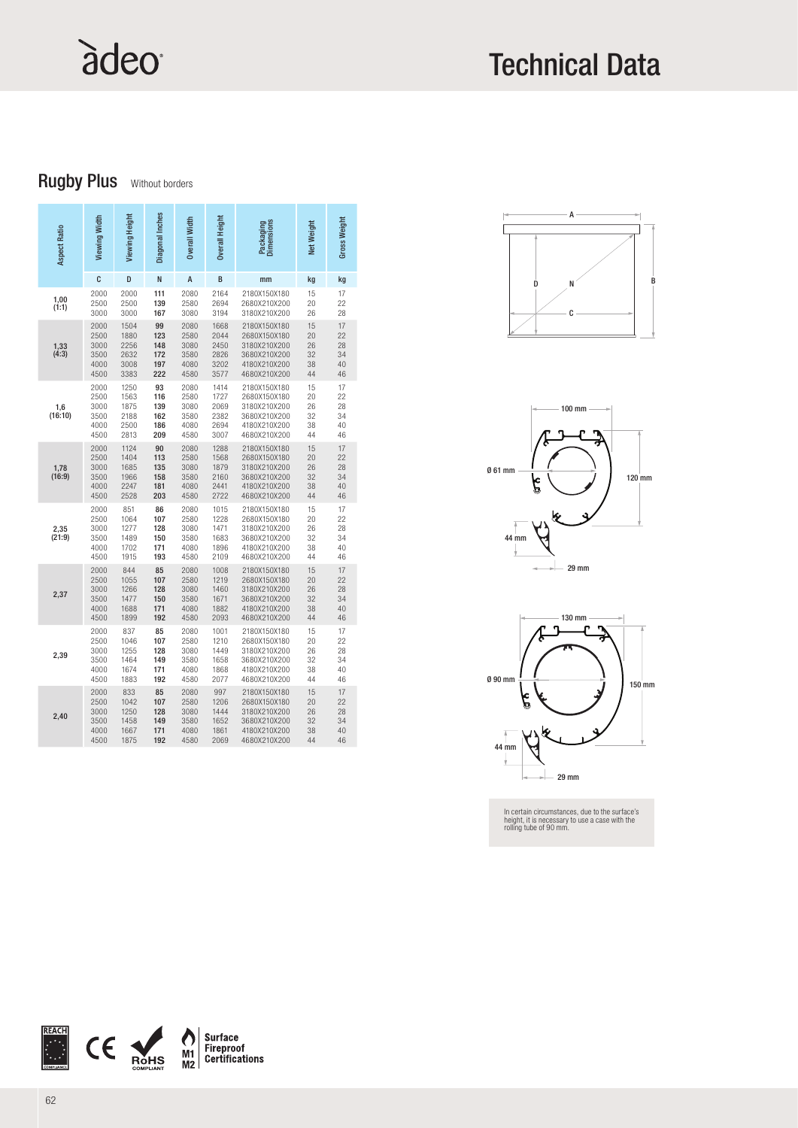# àdeo

## Technical Data

## **Rugby Plus** Without borders

| <b>Aspect Ratio</b> | Viewing Width                                | Viewing Height                               | Diagonal Inches                       | <b>Overall Width</b>                         | Overall Height                               | Packaging<br>Dimensions                                                                      | Net Weight                       | Gross Weight                     |
|---------------------|----------------------------------------------|----------------------------------------------|---------------------------------------|----------------------------------------------|----------------------------------------------|----------------------------------------------------------------------------------------------|----------------------------------|----------------------------------|
|                     | C                                            | D                                            | N                                     | A                                            | B                                            | mm                                                                                           | kg                               | kg                               |
| 1,00<br>(1:1)       | 2000<br>2500<br>3000                         | 2000<br>2500<br>3000                         | 111<br>139<br>167                     | 2080<br>2580<br>3080                         | 2164<br>2694<br>3194                         | 2180X150X180<br>2680X210X200<br>3180X210X200                                                 | 15<br>20<br>26                   | 17<br>22<br>28                   |
| 1,33<br>(4:3)       | 2000<br>2500<br>3000<br>3500<br>4000<br>4500 | 1504<br>1880<br>2256<br>2632<br>3008<br>3383 | 99<br>123<br>148<br>172<br>197<br>222 | 2080<br>2580<br>3080<br>3580<br>4080<br>4580 | 1668<br>2044<br>2450<br>2826<br>3202<br>3577 | 2180X150X180<br>2680X150X180<br>3180X210X200<br>3680X210X200<br>4180X210X200<br>4680X210X200 | 15<br>20<br>26<br>32<br>38<br>44 | 17<br>22<br>28<br>34<br>40<br>46 |
| 1,6<br>(16:10)      | 2000<br>2500<br>3000<br>3500<br>4000<br>4500 | 1250<br>1563<br>1875<br>2188<br>2500<br>2813 | 93<br>116<br>139<br>162<br>186<br>209 | 2080<br>2580<br>3080<br>3580<br>4080<br>4580 | 1414<br>1727<br>2069<br>2382<br>2694<br>3007 | 2180X150X180<br>2680X150X180<br>3180X210X200<br>3680X210X200<br>4180X210X200<br>4680X210X200 | 15<br>20<br>26<br>32<br>38<br>44 | 17<br>22<br>28<br>34<br>40<br>46 |
| $1,78$<br>(16:9)    | 2000<br>2500<br>3000<br>3500<br>4000<br>4500 | 1124<br>1404<br>1685<br>1966<br>2247<br>2528 | 90<br>113<br>135<br>158<br>181<br>203 | 2080<br>2580<br>3080<br>3580<br>4080<br>4580 | 1288<br>1568<br>1879<br>2160<br>2441<br>2722 | 2180X150X180<br>2680X150X180<br>3180X210X200<br>3680X210X200<br>4180X210X200<br>4680X210X200 | 15<br>20<br>26<br>32<br>38<br>44 | 17<br>22<br>28<br>34<br>40<br>46 |
| 2,35<br>(21:9)      | 2000<br>2500<br>3000<br>3500<br>4000<br>4500 | 851<br>1064<br>1277<br>1489<br>1702<br>1915  | 86<br>107<br>128<br>150<br>171<br>193 | 2080<br>2580<br>3080<br>3580<br>4080<br>4580 | 1015<br>1228<br>1471<br>1683<br>1896<br>2109 | 2180X150X180<br>2680X150X180<br>3180X210X200<br>3680X210X200<br>4180X210X200<br>4680X210X200 | 15<br>20<br>26<br>32<br>38<br>44 | 17<br>22<br>28<br>34<br>40<br>46 |
| 2,37                | 2000<br>2500<br>3000<br>3500<br>4000<br>4500 | 844<br>1055<br>1266<br>1477<br>1688<br>1899  | 85<br>107<br>128<br>150<br>171<br>192 | 2080<br>2580<br>3080<br>3580<br>4080<br>4580 | 1008<br>1219<br>1460<br>1671<br>1882<br>2093 | 2180X150X180<br>2680X150X180<br>3180X210X200<br>3680X210X200<br>4180X210X200<br>4680X210X200 | 15<br>20<br>26<br>32<br>38<br>44 | 17<br>22<br>28<br>34<br>40<br>46 |
| 2,39                | 2000<br>2500<br>3000<br>3500<br>4000<br>4500 | 837<br>1046<br>1255<br>1464<br>1674<br>1883  | 85<br>107<br>128<br>149<br>171<br>192 | 2080<br>2580<br>3080<br>3580<br>4080<br>4580 | 1001<br>1210<br>1449<br>1658<br>1868<br>2077 | 2180X150X180<br>2680X150X180<br>3180X210X200<br>3680X210X200<br>4180X210X200<br>4680X210X200 | 15<br>20<br>26<br>32<br>38<br>44 | 17<br>22<br>28<br>34<br>40<br>46 |
| 2,40                | 2000<br>2500<br>3000<br>3500<br>4000<br>4500 | 833<br>1042<br>1250<br>1458<br>1667<br>1875  | 85<br>107<br>128<br>149<br>171<br>192 | 2080<br>2580<br>3080<br>3580<br>4080<br>4580 | 997<br>1206<br>1444<br>1652<br>1861<br>2069  | 2180X150X180<br>2680X150X180<br>3180X210X200<br>3680X210X200<br>4180X210X200<br>4680X210X200 | 15<br>20<br>26<br>32<br>38<br>44 | 17<br>22<br>28<br>34<br>40<br>46 |







In certain circumstances, due to the surface's height, it is necessary to use a case with the rolling tube of 90 mm.

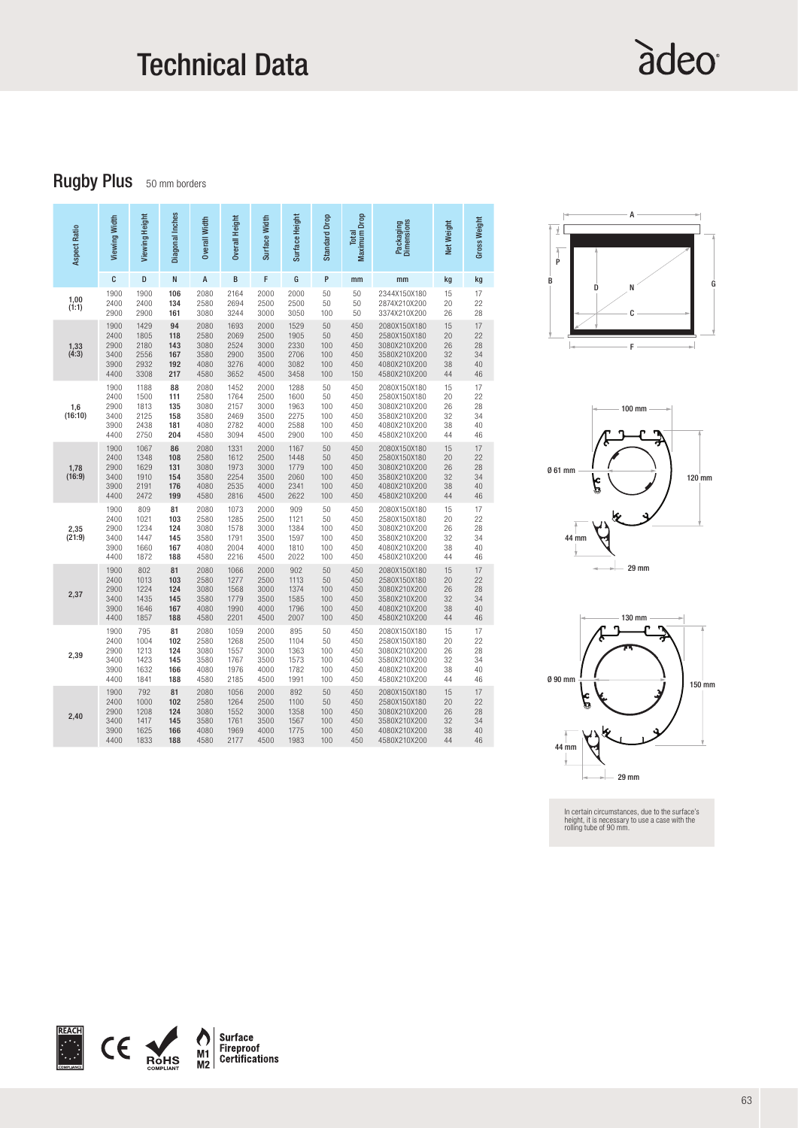## Technical Data

# àdeo

## **Rugby Plus** 50 mm borders

| Aspect Ratio     | Viewing Width                                | Viewing Height                              | Diagonal Inches                       | <b>Overall Width</b>                         | Overall Height                               | Surface Width                                | Surface Height                              | Standard Drop                        | <b>Maximum Drop</b><br>Total           | Packaging<br>Dimensions                                                                      | Net Weight                       | Gross Weight                     |
|------------------|----------------------------------------------|---------------------------------------------|---------------------------------------|----------------------------------------------|----------------------------------------------|----------------------------------------------|---------------------------------------------|--------------------------------------|----------------------------------------|----------------------------------------------------------------------------------------------|----------------------------------|----------------------------------|
|                  | C                                            | D                                           | N                                     | A                                            | B                                            | F                                            | G                                           | P                                    | mm                                     | mm                                                                                           | kg                               | kg                               |
| 1,00<br>(1:1)    | 1900<br>2400<br>2900                         | 1900<br>2400<br>2900                        | 106<br>134<br>161                     | 2080<br>2580<br>3080                         | 2164<br>2694<br>3244                         | 2000<br>2500<br>3000                         | 2000<br>2500<br>3050                        | 50<br>50<br>100                      | 50<br>50<br>50                         | 2344X150X180<br>2874X210X200<br>3374X210X200                                                 | 15<br>20<br>26                   | 17<br>22<br>28                   |
| $1,33$<br>(4:3)  | 1900                                         | 1429                                        | 94                                    | 2080                                         | 1693                                         | 2000                                         | 1529                                        | 50                                   | 450                                    | 2080X150X180                                                                                 | 15                               | 17                               |
|                  | 2400                                         | 1805                                        | 118                                   | 2580                                         | 2069                                         | 2500                                         | 1905                                        | 50                                   | 450                                    | 2580X150X180                                                                                 | 20                               | 22                               |
|                  | 2900                                         | 2180                                        | 143                                   | 3080                                         | 2524                                         | 3000                                         | 2330                                        | 100                                  | 450                                    | 3080X210X200                                                                                 | 26                               | 28                               |
|                  | 3400                                         | 2556                                        | 167                                   | 3580                                         | 2900                                         | 3500                                         | 2706                                        | 100                                  | 450                                    | 3580X210X200                                                                                 | 32                               | 34                               |
|                  | 3900                                         | 2932                                        | 192                                   | 4080                                         | 3276                                         | 4000                                         | 3082                                        | 100                                  | 450                                    | 4080X210X200                                                                                 | 38                               | 40                               |
|                  | 4400                                         | 3308                                        | 217                                   | 4580                                         | 3652                                         | 4500                                         | 3458                                        | 100                                  | 150                                    | 4580X210X200                                                                                 | 44                               | 46                               |
| $1,6$<br>(16:10) | 1900                                         | 1188                                        | 88                                    | 2080                                         | 1452                                         | 2000                                         | 1288                                        | 50                                   | 450                                    | 2080X150X180                                                                                 | 15                               | 17                               |
|                  | 2400                                         | 1500                                        | 111                                   | 2580                                         | 1764                                         | 2500                                         | 1600                                        | 50                                   | 450                                    | 2580X150X180                                                                                 | 20                               | 22                               |
|                  | 2900                                         | 1813                                        | 135                                   | 3080                                         | 2157                                         | 3000                                         | 1963                                        | 100                                  | 450                                    | 3080X210X200                                                                                 | 26                               | 28                               |
|                  | 3400                                         | 2125                                        | 158                                   | 3580                                         | 2469                                         | 3500                                         | 2275                                        | 100                                  | 450                                    | 3580X210X200                                                                                 | 32                               | 34                               |
|                  | 3900                                         | 2438                                        | 181                                   | 4080                                         | 2782                                         | 4000                                         | 2588                                        | 100                                  | 450                                    | 4080X210X200                                                                                 | 38                               | 40                               |
|                  | 4400                                         | 2750                                        | 204                                   | 4580                                         | 3094                                         | 4500                                         | 2900                                        | 100                                  | 450                                    | 4580X210X200                                                                                 | 44                               | 46                               |
| $1,78$<br>(16:9) | 1900                                         | 1067                                        | 86                                    | 2080                                         | 1331                                         | 2000                                         | 1167                                        | 50                                   | 450                                    | 2080X150X180                                                                                 | 15                               | 17                               |
|                  | 2400                                         | 1348                                        | 108                                   | 2580                                         | 1612                                         | 2500                                         | 1448                                        | 50                                   | 450                                    | 2580X150X180                                                                                 | 20                               | 22                               |
|                  | 2900                                         | 1629                                        | 131                                   | 3080                                         | 1973                                         | 3000                                         | 1779                                        | 100                                  | 450                                    | 3080X210X200                                                                                 | 26                               | 28                               |
|                  | 3400                                         | 1910                                        | 154                                   | 3580                                         | 2254                                         | 3500                                         | 2060                                        | 100                                  | 450                                    | 3580X210X200                                                                                 | 32                               | 34                               |
|                  | 3900                                         | 2191                                        | 176                                   | 4080                                         | 2535                                         | 4000                                         | 2341                                        | 100                                  | 450                                    | 4080X210X200                                                                                 | 38                               | 40                               |
|                  | 4400                                         | 2472                                        | 199                                   | 4580                                         | 2816                                         | 4500                                         | 2622                                        | 100                                  | 450                                    | 4580X210X200                                                                                 | 44                               | 46                               |
| 2,35<br>(21:9)   | 1900<br>2400<br>2900<br>3400<br>3900<br>4400 | 809<br>1021<br>1234<br>1447<br>1660<br>1872 | 81<br>103<br>124<br>145<br>167<br>188 | 2080<br>2580<br>3080<br>3580<br>4080<br>4580 | 1073<br>1285<br>1578<br>1791<br>2004<br>2216 | 2000<br>2500<br>3000<br>3500<br>4000<br>4500 | 909<br>1121<br>1384<br>1597<br>1810<br>2022 | 50<br>50<br>100<br>100<br>100<br>100 | 450<br>450<br>450<br>450<br>450<br>450 | 2080X150X180<br>2580X150X180<br>3080X210X200<br>3580X210X200<br>4080X210X200<br>4580X210X200 | 15<br>20<br>26<br>32<br>38<br>44 | 17<br>22<br>28<br>34<br>40<br>46 |
| 2,37             | 1900                                         | 802                                         | 81                                    | 2080                                         | 1066                                         | 2000                                         | 902                                         | 50                                   | 450                                    | 2080X150X180                                                                                 | 15                               | 17                               |
|                  | 2400                                         | 1013                                        | 103                                   | 2580                                         | 1277                                         | 2500                                         | 1113                                        | 50                                   | 450                                    | 2580X150X180                                                                                 | 20                               | 22                               |
|                  | 2900                                         | 1224                                        | 124                                   | 3080                                         | 1568                                         | 3000                                         | 1374                                        | 100                                  | 450                                    | 3080X210X200                                                                                 | 26                               | 28                               |
|                  | 3400                                         | 1435                                        | 145                                   | 3580                                         | 1779                                         | 3500                                         | 1585                                        | 100                                  | 450                                    | 3580X210X200                                                                                 | 32                               | 34                               |
|                  | 3900                                         | 1646                                        | 167                                   | 4080                                         | 1990                                         | 4000                                         | 1796                                        | 100                                  | 450                                    | 4080X210X200                                                                                 | 38                               | 40                               |
|                  | 4400                                         | 1857                                        | 188                                   | 4580                                         | 2201                                         | 4500                                         | 2007                                        | 100                                  | 450                                    | 4580X210X200                                                                                 | 44                               | 46                               |
| 2,39             | 1900                                         | 795                                         | 81                                    | 2080                                         | 1059                                         | 2000                                         | 895                                         | 50                                   | 450                                    | 2080X150X180                                                                                 | 15                               | 17                               |
|                  | 2400                                         | 1004                                        | 102                                   | 2580                                         | 1268                                         | 2500                                         | 1104                                        | 50                                   | 450                                    | 2580X150X180                                                                                 | 20                               | 22                               |
|                  | 2900                                         | 1213                                        | 124                                   | 3080                                         | 1557                                         | 3000                                         | 1363                                        | 100                                  | 450                                    | 3080X210X200                                                                                 | 26                               | 28                               |
|                  | 3400                                         | 1423                                        | 145                                   | 3580                                         | 1767                                         | 3500                                         | 1573                                        | 100                                  | 450                                    | 3580X210X200                                                                                 | 32                               | 34                               |
|                  | 3900                                         | 1632                                        | 166                                   | 4080                                         | 1976                                         | 4000                                         | 1782                                        | 100                                  | 450                                    | 4080X210X200                                                                                 | 38                               | 40                               |
|                  | 4400                                         | 1841                                        | 188                                   | 4580                                         | 2185                                         | 4500                                         | 1991                                        | 100                                  | 450                                    | 4580X210X200                                                                                 | 44                               | 46                               |
| 2,40             | 1900                                         | 792                                         | 81                                    | 2080                                         | 1056                                         | 2000                                         | 892                                         | 50                                   | 450                                    | 2080X150X180                                                                                 | 15                               | 17                               |
|                  | 2400                                         | 1000                                        | 102                                   | 2580                                         | 1264                                         | 2500                                         | 1100                                        | 50                                   | 450                                    | 2580X150X180                                                                                 | 20                               | 22                               |
|                  | 2900                                         | 1208                                        | 124                                   | 3080                                         | 1552                                         | 3000                                         | 1358                                        | 100                                  | 450                                    | 3080X210X200                                                                                 | 26                               | 28                               |
|                  | 3400                                         | 1417                                        | 145                                   | 3580                                         | 1761                                         | 3500                                         | 1567                                        | 100                                  | 450                                    | 3580X210X200                                                                                 | 32                               | 34                               |
|                  | 3900                                         | 1625                                        | 166                                   | 4080                                         | 1969                                         | 4000                                         | 1775                                        | 100                                  | 450                                    | 4080X210X200                                                                                 | 38                               | 40                               |
|                  | 4400                                         | 1833                                        | 188                                   | 4580                                         | 2177                                         | 4500                                         | 1983                                        | 100                                  | 450                                    | 4580X210X200                                                                                 | 44                               | 46                               |







In certain circumstances, due to the surface's height, it is necessary to use a case with the rolling tube of 90 mm.